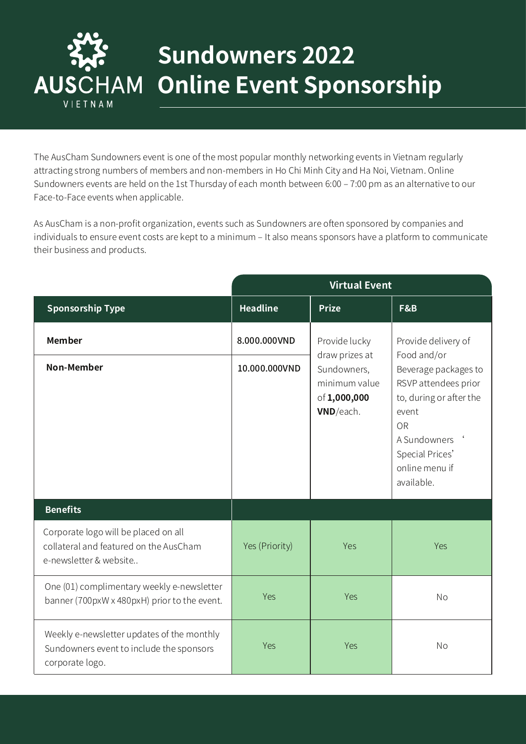

## **Sundowners 2022 Online Event Sponsorship**

The AusCham Sundowners event is one of the most popular monthly networking events in Vietnam regularly attracting strong numbers of members and non-members in Ho Chi Minh City and Ha Noi, Vietnam. Online Sundowners events are held on the 1st Thursday of each month between 6:00 – 7:00 pm as an alternative to our Face-to-Face events when applicable.

As AusCham is a non-profit organization, events such as Sundowners are often sponsored by companies and individuals to ensure event costs are kept to a minimum - It also means sponsors have a platform to communicate their business and products.

|                                                                                                           | <b>Virtual Event</b> |                                                           |                                                                                                                                                                  |
|-----------------------------------------------------------------------------------------------------------|----------------------|-----------------------------------------------------------|------------------------------------------------------------------------------------------------------------------------------------------------------------------|
| <b>Sponsorship Type</b>                                                                                   | <b>Headline</b>      | <b>Prize</b>                                              | F&B                                                                                                                                                              |
| <b>Member</b>                                                                                             | 8.000.000VND         | Provide lucky<br>draw prizes at                           | Provide delivery of<br>Food and/or                                                                                                                               |
| <b>Non-Member</b>                                                                                         | 10.000.000VND        | Sundowners,<br>minimum value<br>of 1,000,000<br>VND/each. | Beverage packages to<br>RSVP attendees prior<br>to, during or after the<br>event<br><b>OR</b><br>A Sundowners<br>Special Prices'<br>online menu if<br>available. |
| <b>Benefits</b>                                                                                           |                      |                                                           |                                                                                                                                                                  |
| Corporate logo will be placed on all<br>collateral and featured on the AusCham<br>e-newsletter & website  | Yes (Priority)       | Yes                                                       | Yes                                                                                                                                                              |
| One (01) complimentary weekly e-newsletter<br>banner (700pxW x 480pxH) prior to the event.                | Yes                  | Yes                                                       | <b>No</b>                                                                                                                                                        |
| Weekly e-newsletter updates of the monthly<br>Sundowners event to include the sponsors<br>corporate logo. | Yes                  | Yes                                                       | <b>No</b>                                                                                                                                                        |